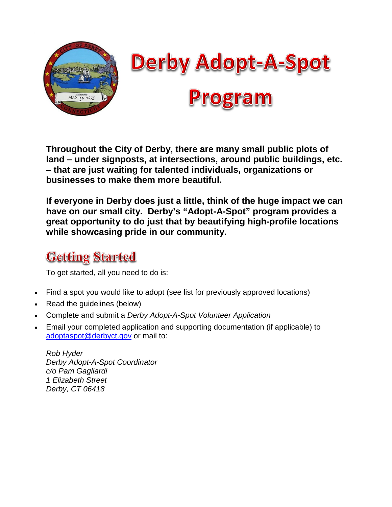

**Throughout the City of Derby, there are many small public plots of land – under signposts, at intersections, around public buildings, etc. – that are just waiting for talented individuals, organizations or businesses to make them more beautiful.**

**If everyone in Derby does just a little, think of the huge impact we can have on our small city. Derby's "Adopt-A-Spot" program provides a great opportunity to do just that by beautifying high-profile locations while showcasing pride in our community.**

### **Getting Started**

To get started, all you need to do is:

- Find a spot you would like to adopt (see list for previously approved locations)
- Read the guidelines (below)
- Complete and submit a *Derby Adopt-A-Spot Volunteer Application*
- Email your completed application and supporting documentation (if applicable) to [adoptaspot@derbyct.gov](mailto:adoptaspot@derbyct.gov) or mail to:

*Rob Hyder Derby Adopt-A-Spot Coordinator c/o Pam Gagliardi 1 Elizabeth Street Derby, CT 06418*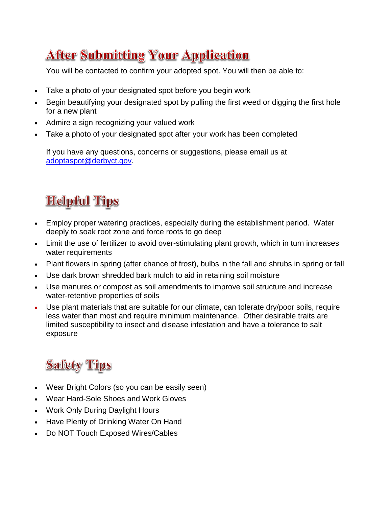## **After Submitting Your Application**

You will be contacted to confirm your adopted spot. You will then be able to:

- Take a photo of your designated spot before you begin work
- Begin beautifying your designated spot by pulling the first weed or digging the first hole for a new plant
- Admire a sign recognizing your valued work
- Take a photo of your designated spot after your work has been completed

If you have any questions, concerns or suggestions, please email us at [adoptaspot@derbyct.gov.](mailto:adoptaspot@derbyct.gov)

## **Helpful Tips**

- Employ proper watering practices, especially during the establishment period. Water deeply to soak root zone and force roots to go deep
- Limit the use of fertilizer to avoid over-stimulating plant growth, which in turn increases water requirements
- Plant flowers in spring (after chance of frost), bulbs in the fall and shrubs in spring or fall
- Use dark brown shredded bark mulch to aid in retaining soil moisture
- Use manures or compost as soil amendments to improve soil structure and increase water-retentive properties of soils
- Use plant materials that are suitable for our climate, can tolerate dry/poor soils, require less water than most and require minimum maintenance. Other desirable traits are limited susceptibility to insect and disease infestation and have a tolerance to salt exposure

## **Safety Tips**

- Wear Bright Colors (so you can be easily seen)
- Wear Hard-Sole Shoes and Work Gloves
- Work Only During Daylight Hours
- Have Plenty of Drinking Water On Hand
- Do NOT Touch Exposed Wires/Cables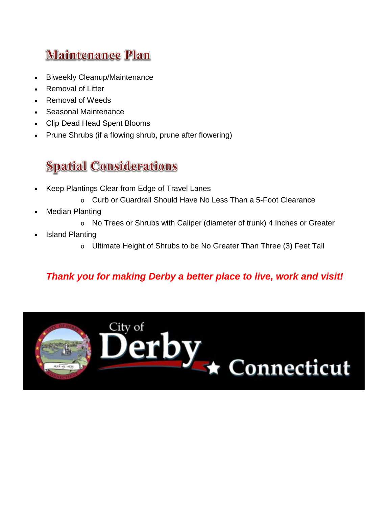## **Maintenance Plan**

- Biweekly Cleanup/Maintenance
- Removal of Litter
- Removal of Weeds
- Seasonal Maintenance
- Clip Dead Head Spent Blooms
- Prune Shrubs (if a flowing shrub, prune after flowering)

## **Spatial Considerations**

- Keep Plantings Clear from Edge of Travel Lanes
	- o Curb or Guardrail Should Have No Less Than a 5-Foot Clearance
- **Median Planting** 
	- o No Trees or Shrubs with Caliper (diameter of trunk) 4 Inches or Greater
- **Island Planting** 
	- o Ultimate Height of Shrubs to be No Greater Than Three (3) Feet Tall

### *Thank you for making Derby a better place to live, work and visit!*

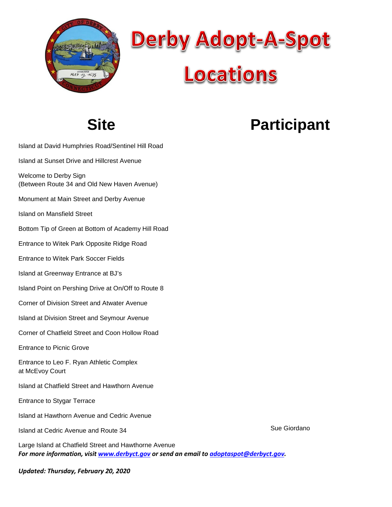



## **Site**

# **Participant**

- Island at David Humphries Road/Sentinel Hill Road
- Island at Sunset Drive and Hillcrest Avenue
- Welcome to Derby Sign (Between Route 34 and Old New Haven Avenue)
- Monument at Main Street and Derby Avenue
- Island on Mansfield Street
- Bottom Tip of Green at Bottom of Academy Hill Road
- Entrance to Witek Park Opposite Ridge Road
- Entrance to Witek Park Soccer Fields
- Island at Greenway Entrance at BJ's
- Island Point on Pershing Drive at On/Off to Route 8
- Corner of Division Street and Atwater Avenue
- Island at Division Street and Seymour Avenue
- Corner of Chatfield Street and Coon Hollow Road
- Entrance to Picnic Grove
- Entrance to Leo F. Ryan Athletic Complex at McEvoy Court
- Island at Chatfield Street and Hawthorn Avenue
- Entrance to Stygar Terrace
- Island at Hawthorn Avenue and Cedric Avenue
- Island at Cedric Avenue and Route 34
- *For more information, visit [www.derbyct.gov](http://www.derbyct.gov/) or send an email t[o adoptaspot@derbyct.gov.](mailto:adoptaspot@derbyct.gov)* Large Island at Chatfield Street and Hawthorne Avenue

*Updated: Thursday, February 20, 2020*

Sue Giordano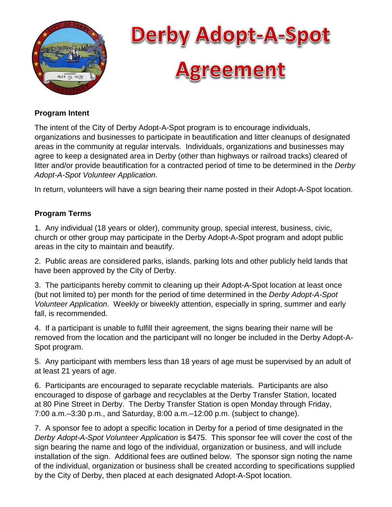



#### **Program Intent**

The intent of the City of Derby Adopt-A-Spot program is to encourage individuals, organizations and businesses to participate in beautification and litter cleanups of designated areas in the community at regular intervals. Individuals, organizations and businesses may agree to keep a designated area in Derby (other than highways or railroad tracks) cleared of litter and/or provide beautification for a contracted period of time to be determined in the *Derby Adopt-A-Spot Volunteer Application*.

In return, volunteers will have a sign bearing their name posted in their Adopt-A-Spot location.

#### **Program Terms**

1. Any individual (18 years or older), community group, special interest, business, civic, church or other group may participate in the Derby Adopt-A-Spot program and adopt public areas in the city to maintain and beautify.

2. Public areas are considered parks, islands, parking lots and other publicly held lands that have been approved by the City of Derby.

3. The participants hereby commit to cleaning up their Adopt-A-Spot location at least once (but not limited to) per month for the period of time determined in the *Derby Adopt-A-Spot Volunteer Application*. Weekly or biweekly attention, especially in spring, summer and early fall, is recommended.

4. If a participant is unable to fulfill their agreement, the signs bearing their name will be removed from the location and the participant will no longer be included in the Derby Adopt-A-Spot program.

5. Any participant with members less than 18 years of age must be supervised by an adult of at least 21 years of age.

6. Participants are encouraged to separate recyclable materials. Participants are also encouraged to dispose of garbage and recyclables at the Derby Transfer Station, located at 80 Pine Street in Derby. The Derby Transfer Station is open Monday through Friday, 7:00 a.m.–3:30 p.m., and Saturday, 8:00 a.m.–12:00 p.m. (subject to change).

7. A sponsor fee to adopt a specific location in Derby for a period of time designated in the *Derby Adopt-A-Spot Volunteer Application* is \$475. This sponsor fee will cover the cost of the sign bearing the name and logo of the individual, organization or business, and will include installation of the sign. Additional fees are outlined below. The sponsor sign noting the name of the individual, organization or business shall be created according to specifications supplied by the City of Derby, then placed at each designated Adopt-A-Spot location.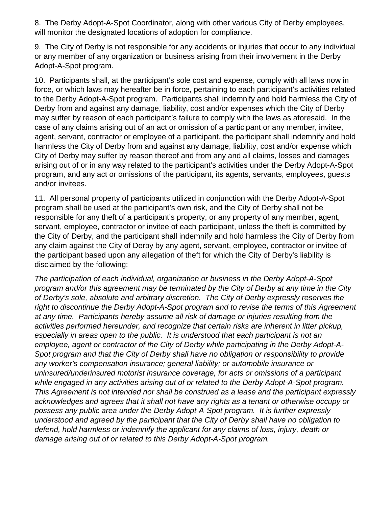8. The Derby Adopt-A-Spot Coordinator, along with other various City of Derby employees, will monitor the designated locations of adoption for compliance.

9. The City of Derby is not responsible for any accidents or injuries that occur to any individual or any member of any organization or business arising from their involvement in the Derby Adopt-A-Spot program.

10. Participants shall, at the participant's sole cost and expense, comply with all laws now in force, or which laws may hereafter be in force, pertaining to each participant's activities related to the Derby Adopt-A-Spot program. Participants shall indemnify and hold harmless the City of Derby from and against any damage, liability, cost and/or expenses which the City of Derby may suffer by reason of each participant's failure to comply with the laws as aforesaid. In the case of any claims arising out of an act or omission of a participant or any member, invitee, agent, servant, contractor or employee of a participant, the participant shall indemnify and hold harmless the City of Derby from and against any damage, liability, cost and/or expense which City of Derby may suffer by reason thereof and from any and all claims, losses and damages arising out of or in any way related to the participant's activities under the Derby Adopt-A-Spot program, and any act or omissions of the participant, its agents, servants, employees, guests and/or invitees.

11. All personal property of participants utilized in conjunction with the Derby Adopt-A-Spot program shall be used at the participant's own risk, and the City of Derby shall not be responsible for any theft of a participant's property, or any property of any member, agent, servant, employee, contractor or invitee of each participant, unless the theft is committed by the City of Derby, and the participant shall indemnify and hold harmless the City of Derby from any claim against the City of Derby by any agent, servant, employee, contractor or invitee of the participant based upon any allegation of theft for which the City of Derby's liability is disclaimed by the following:

*The participation of each individual, organization or business in the Derby Adopt-A-Spot program and/or this agreement may be terminated by the City of Derby at any time in the City of Derby's sole, absolute and arbitrary discretion. The City of Derby expressly reserves the right to discontinue the Derby Adopt-A-Spot program and to revise the terms of this Agreement at any time. Participants hereby assume all risk of damage or injuries resulting from the activities performed hereunder, and recognize that certain risks are inherent in litter pickup, especially in areas open to the public. It is understood that each participant is not an employee, agent or contractor of the City of Derby while participating in the Derby Adopt-A-Spot program and that the City of Derby shall have no obligation or responsibility to provide any worker's compensation insurance; general liability; or automobile insurance or uninsured/underinsured motorist insurance coverage, for acts or omissions of a participant while engaged in any activities arising out of or related to the Derby Adopt-A-Spot program. This Agreement is not intended nor shall be construed as a lease and the participant expressly acknowledges and agrees that it shall not have any rights as a tenant or otherwise occupy or possess any public area under the Derby Adopt-A-Spot program. It is further expressly understood and agreed by the participant that the City of Derby shall have no obligation to defend, hold harmless or indemnify the applicant for any claims of loss, injury, death or damage arising out of or related to this Derby Adopt-A-Spot program.*